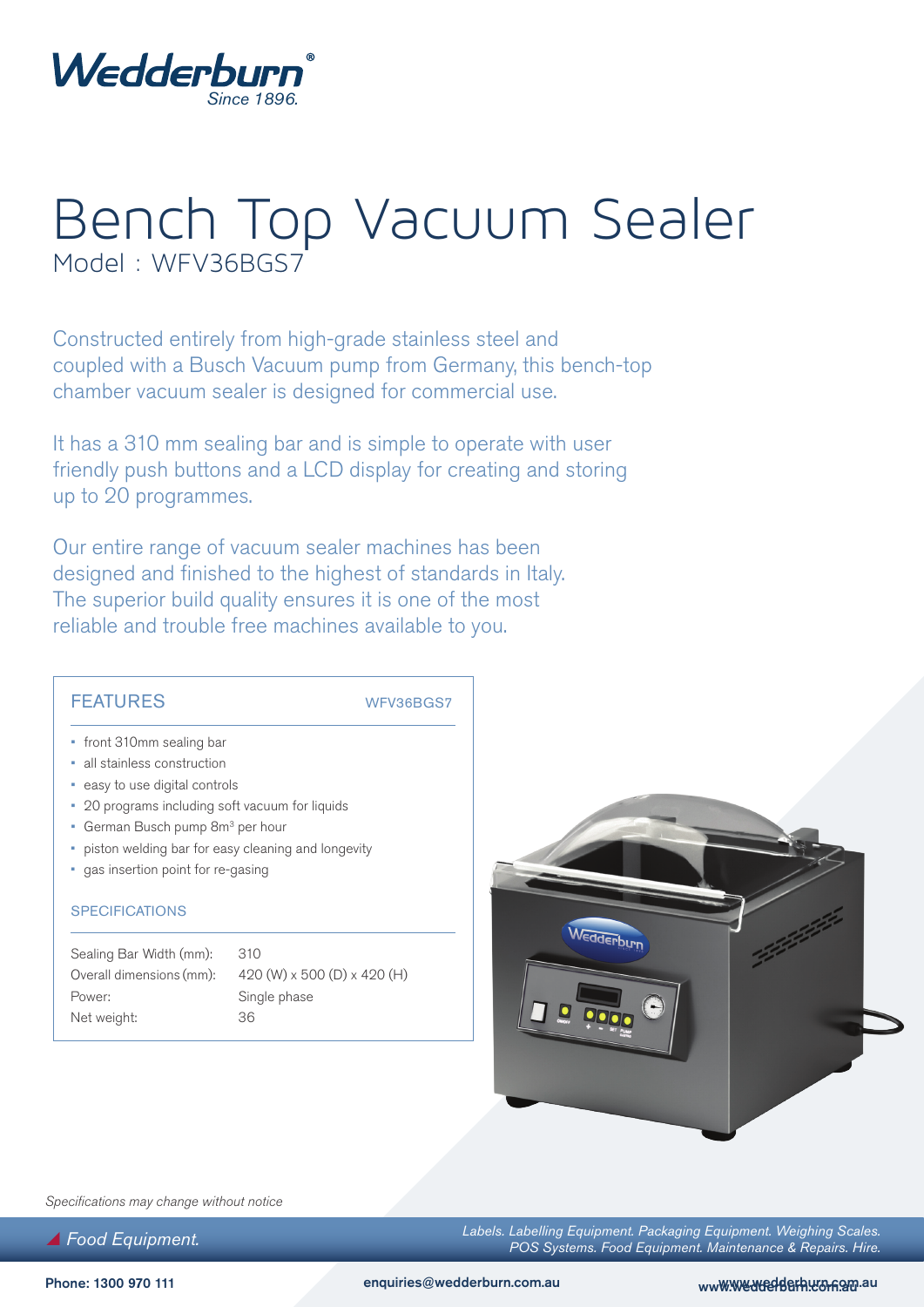

# Bench Top Vacuum Sealer Model : WFV36BGS7

Constructed entirely from high-grade stainless steel and coupled with a Busch Vacuum pump from Germany, this bench-top chamber vacuum sealer is designed for commercial use.

It has a 310 mm sealing bar and is simple to operate with user friendly push buttons and a LCD display for creating and storing up to 20 programmes.

Our entire range of vacuum sealer machines has been designed and finished to the highest of standards in Italy. The superior build quality ensures it is one of the most reliable and trouble free machines available to you.

### FEATURES WFV36BGS7

- front 310mm sealing bar
- all stainless construction
- easy to use digital controls
- 20 programs including soft vacuum for liquids
- German Busch pump 8m<sup>3</sup> per hour
- piston welding bar for easy cleaning and longevity
- gas insertion point for re-gasing

#### **SPECIFICATIONS**

Sealing Bar Width (mm): 310 Power: Single phase Net weight: 36

Overall dimensions (mm): 420 (W) x 500 (D) x 420 (H)



*Specifications may change without notice*

 *Food Equipment.*

*Labels. Labelling Equipment. Packaging Equipment. Weighing Scales. POS Systems. Food Equipment. Maintenance & Repairs. Hire.*

Phone: 1300 970 111 enquiries@wedderburn.com.au www.wedderburn.com/au www.wedderburn.com/au www.wedderburn.com/au